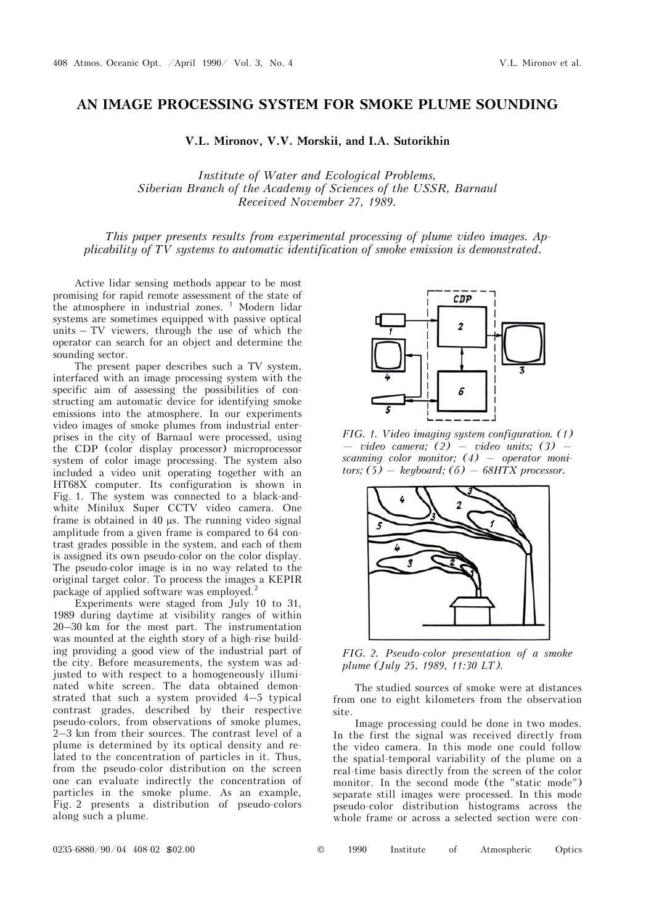## **AN IMAGE PROCESSING SYSTEM FOR SMOKE PLUME SOUNDING**

**V.L. Mironov, V.V. Morskii, and I.A. Sutorikhin** 

*Institute of Water and Ecological Problems, Siberian Branch of the Academy of Sciences of the USSR, Barnaul Received November 27, 1989.* 

*This paper presents results from experimental processing of plume video images. Applicability of TV systems to automatic identification of smoke emission is demonstrated.* 

Active lidar sensing methods appear to be most promising for rapid remote assessment of the state of the atmosphere in industrial zones.<sup>1</sup> Modern lidar systems are sometimes equipped with passive optical units – TV viewers, through the use of which the operator can search for an object and determine the sounding sector.

The present paper describes such a TV system, interfaced with an image processing system with the specific aim of assessing the possibilities of constructing am automatic device for identifying smoke emissions into the atmosphere. In our experiments video images of smoke plumes from industrial enterprises in the city of Barnaul were processed, using the CDP (color display processor) microprocessor system of color image processing. The system also included a video unit operating together with an HT68X computer. Its configuration is shown in Fig. 1. The system was connected to a black-andwhite Minilux Super CCTV video camera. One frame is obtained in 40  $\mu$ s. The running video signal amplitude from a given frame is compared to 64 contrast grades possible in the system, and each of them is assigned its own pseudo-color on the color display. The pseudo-color image is in no way related to the original target color. To process the images a KEPIR package of applied software was employed.<sup>2</sup>

Experiments were staged from July 10 to 31, 1989 during daytime at visibility ranges of within 20–30 km for the most part. The instrumentation was mounted at the eighth story of a high-rise building providing a good view of the industrial part of the city. Before measurements, the system was adjusted to with respect to a homogeneously illuminated white screen. The data obtained demonstrated that such a system provided 4–5 typical contrast grades, described by their respective pseudo-colors, from observations of smoke plumes, 2–3 km from their sources. The contrast level of a plume is determined by its optical density and related to the concentration of particles in it. Thus, from the pseudo-color distribution on the screen one can evaluate indirectly the concentration of particles in the smoke plume. As an example, Fig. 2 presents a distribution of pseudo-colors along such a plume.

 $CDP$  $\overline{2}$ 

*FIG. 1. Video imaging system configuration. (1) — video camera; (2) — video units; (3) scanning color monitor; (4) — operator monitors; (5) — keyboard; (á) — 68HTX processor.*



*FIG. 2. Pseudo-color presentation of a smoke plume (July 25, 1989, 11:30 LT).* 

The studied sources of smoke were at distances from one to eight kilometers from the observation site.

Image processing could be done in two modes. In the first the signal was received directly from the video camera. In this mode one could follow the spatial-temporal variability of the plume on a real-time basis directly from the screen of the color monitor. In the second mode (the "static mode") separate still images were processed. In this mode pseudo-color distribution histograms across the whole frame or across a selected section were con